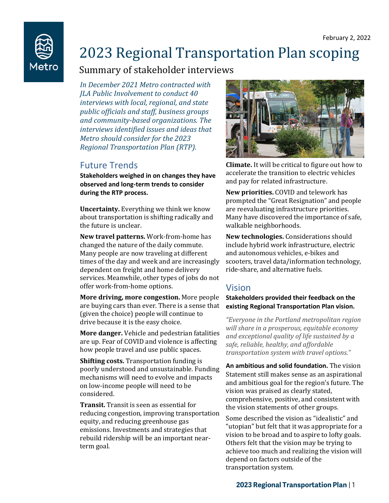

# 2023 Regional Transportation Plan scoping

## Summary of stakeholder interviews

*In December 2021 Metro contracted with JLA Public Involvement to conduct 40 interviews with local, regional, and state public officials and staff, business groups and community-based organizations. The interviews identified issues and ideas that Metro should consider for the 2023 Regional Transportation Plan (RTP).*

## Future Trends

**Stakeholders weighed in on changes they have observed and long-term trends to consider during the RTP process.** 

**Uncertainty.** Everything we think we know about transportation is shifting radically and the future is unclear.

**New travel patterns.** Work-from-home has changed the nature of the daily commute. Many people are now traveling at different times of the day and week and are increasingly dependent on freight and home delivery services. Meanwhile, other types of jobs do not offer work-from-home options.

**More driving, more congestion.** More people are buying cars than ever. There is a sense that (given the choice) people will continue to drive because it is the easy choice.

**More danger.** Vehicle and pedestrian fatalities are up. Fear of COVID and violence is affecting how people travel and use public spaces.

**Shifting costs.** Transportation funding is poorly understood and unsustainable. Funding mechanisms will need to evolve and impacts on low-income people will need to be considered.

**Transit.** Transit is seen as essential for reducing congestion, improving transportation equity, and reducing greenhouse gas emissions. Investments and strategies that rebuild ridership will be an important nearterm goal.



**Climate.** It will be critical to figure out how to accelerate the transition to electric vehicles and pay for related infrastructure.

**New priorities.** COVID and telework has prompted the "Great Resignation" and people are reevaluating infrastructure priorities. Many have discovered the importance of safe, walkable neighborhoods.

**New technologies.** Considerations should include hybrid work infrastructure, electric and autonomous vehicles, e-bikes and scooters, travel data/information technology, ride-share, and alternative fuels.

## Vision

#### **Stakeholders provided their feedback on the existing Regional Transportation Plan vision.**

*"Everyone in the Portland metropolitan region will share in a prosperous, equitable economy and exceptional quality of life sustained by a safe, reliable, healthy, and affordable transportation system with travel options."*

**An ambitious and solid foundation.** The vision Statement still makes sense as an aspirational and ambitious goal for the region's future. The vision was praised as clearly stated, comprehensive, positive, and consistent with the vision statements of other groups.

Some described the vision as "idealistic" and "utopian" but felt that it was appropriate for a vision to be broad and to aspire to lofty goals. Others felt that the vision may be trying to achieve too much and realizing the vision will depend on factors outside of the transportation system.